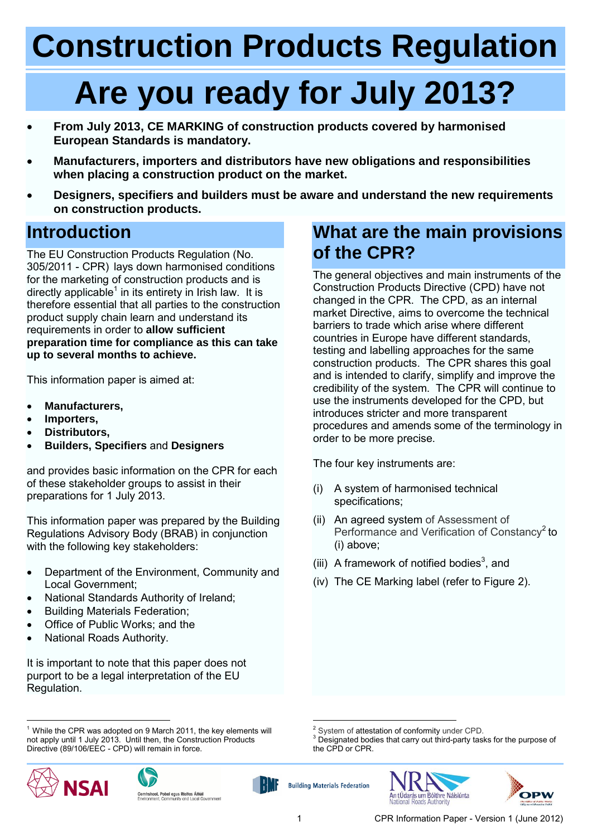# **Construction Products Regulation**

# **Are you ready for July 2013?**

- **From July 2013, CE MARKING of construction products covered by harmonised European Standards is mandatory.**
- **Manufacturers, importers and distributors have new obligations and responsibilities when placing a construction product on the market.**
- **Designers, specifiers and builders must be aware and understand the new requirements on construction products.**

### **Introduction**

The EU Construction Products Regulation (No. 305/2011 - CPR) lays down harmonised conditions for the marketing of construction products and is directly applicable<sup>1</sup> in its entirety in Irish law. It is therefore essential that all parties to the construction product supply chain learn and understand its requirements in order to **allow sufficient preparation time for compliance as this can take up to several months to achieve.**

This information paper is aimed at:

- **Manufacturers,**
- **Importers,**
- **Distributors,**
- **Builders, Specifiers** and **Designers**

and provides basic information on the CPR for each of these stakeholder groups to assist in their preparations for 1 July 2013.

This information paper was prepared by the Building Regulations Advisory Body (BRAB) in conjunction with the following key stakeholders:

- Department of the Environment, Community and Local Government;
- National Standards Authority of Ireland;
- Building Materials Federation;
- Office of Public Works: and the
- National Roads Authority.

It is important to note that this paper does not purport to be a legal interpretation of the EU Regulation.

<sup>1</sup>  $1$  While the CPR was adopted on 9 March 2011, the key elements will not apply until 1 July 2013. Until then, the Construction Products Directive (89/106/EEC - CPD) will remain in force.







### **What are the main provisions of the CPR?**

The general objectives and main instruments of the Construction Products Directive (CPD) have not changed in the CPR. The CPD, as an internal market Directive, aims to overcome the technical barriers to trade which arise where different countries in Europe have different standards, testing and labelling approaches for the same construction products. The CPR shares this goal and is intended to clarify, simplify and improve the credibility of the system. The CPR will continue to use the instruments developed for the CPD, but introduces stricter and more transparent procedures and amends some of the terminology in order to be more precise.

The four key instruments are:

- (i) A system of harmonised technical specifications;
- (ii) An agreed system of Assessment of Performance and Verification of Constancy<sup>2</sup> to (i) above;
- (iii) A framework of notified bodies<sup>3</sup>, and
- (iv) The CE Marking label (refer to Figure 2).

Designated bodies that carry out third-party tasks for the purpose of the CPD or CPR.





**Building Materials Federation** 

<sup>1</sup> System of attestation of conformity under CPD.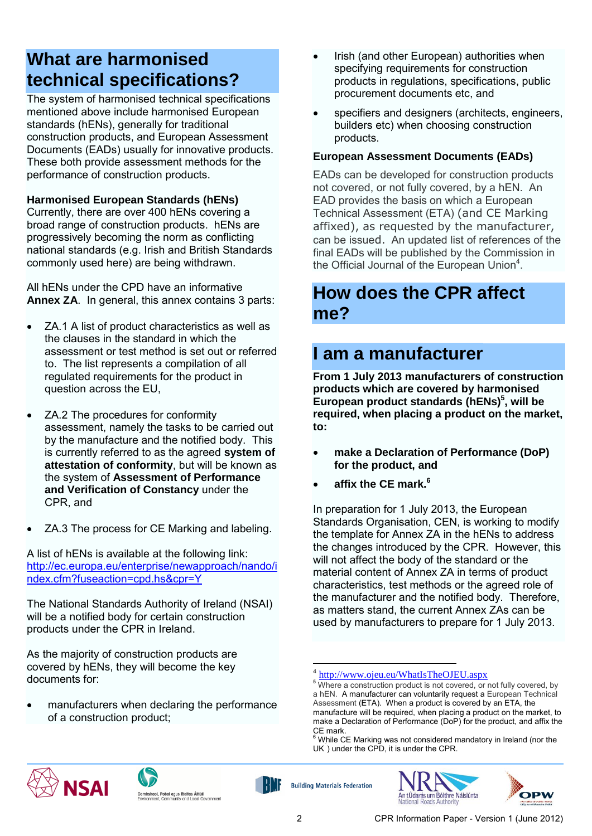## **What are harmonised technical specifications?**

The system of harmonised technical specifications mentioned above include [harmonised](http://ec.europa.eu/enterprise/sectors/construction/declaration-of-performance/european-standards/index_en.htm) European [standards \(hENs\),](http://ec.europa.eu/enterprise/sectors/construction/declaration-of-performance/european-standards/index_en.htm) generally for traditional construction products, and [European Assessment](http://ec.europa.eu/enterprise/sectors/construction/declaration-of-performance/assessment-documents/index_en.htm)  [Documents \(EADs\)](http://ec.europa.eu/enterprise/sectors/construction/declaration-of-performance/assessment-documents/index_en.htm) usually for innovative products. These both provide assessment methods for the performance of construction products.

**Harmonised European Standards (hENs)**

Currently, there are over 400 hENs covering a broad range of construction products. hENs are progressively becoming the norm as conflicting national standards (e.g. Irish and British Standards commonly used here) are being withdrawn.

All hENs under the CPD have an informative **Annex ZA**. In general, this annex contains 3 parts:

- ZA.1 A list of product characteristics as well as the clauses in the standard in which the assessment or test method is set out or referred to. The list represents a compilation of all regulated requirements for the product in question across the EU,
- ZA.2 The procedures for conformity assessment, namely the tasks to be carried out by the manufacture and the notified body. This is currently referred to as the agreed **system of attestation of conformity**, but will be known as the system of **Assessment of Performance and Verification of Constancy** under the CPR, and
- ZA.3 The process for CE Marking and labeling.

A list of hENs is available at the following link: [http://ec.europa.eu/enterprise/newapproach/nando/i](http://ec.europa.eu/enterprise/newapproach/nando/index.cfm?fuseaction=cpd.hs&cpr=Y) [ndex.cfm?fuseaction=cpd.hs&cpr=Y](http://ec.europa.eu/enterprise/newapproach/nando/index.cfm?fuseaction=cpd.hs&cpr=Y)

The National Standards Authority of Ireland (NSAI) will be a notified body for certain construction products under the CPR in Ireland.

As the majority of construction products are covered by hENs, they will become the key documents for:

 manufacturers when [declaring the performance](http://ec.europa.eu/enterprise/sectors/construction/declaration-of-performance/index_en.htm) of a construction product;

- Irish (and other European) authorities when specifying requirements for construction products in regulations, specifications, public procurement documents etc, and
- specifiers and designers (architects, engineers, builders etc) when choosing construction products.

#### **European Assessment Documents (EADs)**

EADs can be developed for construction products not covered, or not fully covered, by a hEN. An EAD provides the basis on which a European Technical Assessment (ETA) (and CE Marking affixed), as requested by the manufacturer, can be issued. An updated list of references of the final EADs will be published by the Commission in the Official Journal of the European Union<sup>4</sup>.

#### **How does the CPR affect me?**

### **I am a manufacturer**

**From 1 July 2013 manufacturers of construction products which are covered by harmonised European product standards (hENs)<sup>5</sup> , will be required, when placing a product on the market, to:**

- **make a Declaration of Performance (DoP) for the product, and**
- **affix the CE mark. 6**

In preparation for 1 July 2013, the European Standards Organisation, CEN, is working to modify the template for Annex ZA in the hENs to address the changes introduced by the CPR. However, this will not affect the body of the standard or the material content of Annex ZA in terms of product characteristics, test methods or the agreed role of the manufacturer and the notified body. Therefore, as matters stand, the current Annex ZAs can be used by manufacturers to prepare for 1 July 2013.







<u>.</u>





<sup>4</sup> <http://www.ojeu.eu/WhatIsTheOJEU.aspx>

<sup>&</sup>lt;sup>5</sup> Where a construction product is not covered, or not fully covered, by a hEN. A manufacturer can voluntarily request a European Technical Assessment (ETA). When a product is covered by an ETA, the manufacture will be required, when placing a product on the market, to make a Declaration of Performance (DoP) for the product, and affix the CE mark.

 $6$  While CE Marking was not considered mandatory in Ireland (nor the UK) under the CPD, it is under the CPR.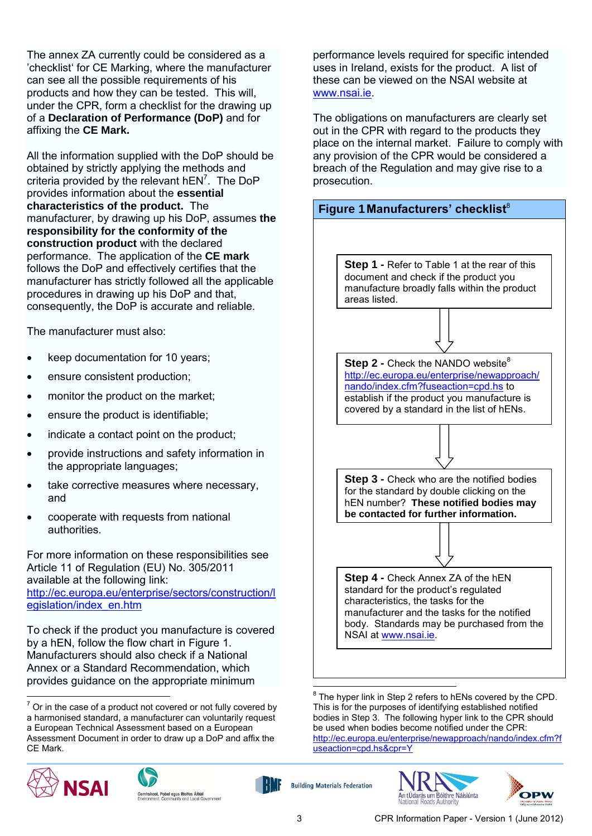The annex ZA currently could be considered as a 'checklist' for CE Marking, where the manufacturer can see all the possible requirements of his products and how they can be tested. This will, under the CPR, form a checklist for the drawing up of a **Declaration of Performance (DoP)** and for affixing the **CE Mark.**

All the information supplied with the DoP should be obtained by strictly applying the methods and criteria provided by the relevant  $hEN^7$ . The DoP provides information about the **essential characteristics of the product.** The manufacturer, by drawing up his DoP, assumes **the responsibility for the conformity of the construction product** with the declared performance. The application of the **CE mark**  follows the DoP and effectively certifies that the manufacturer has strictly followed all the applicable procedures in drawing up his DoP and that, consequently, the DoP is accurate and reliable.

The manufacturer must also:

- keep documentation for 10 years;
- ensure consistent production;
- monitor the product on the market;
- ensure the product is identifiable;
- indicate a contact point on the product;
- provide instructions and safety information in the appropriate languages;
- take corrective measures where necessary, and
- cooperate with requests from national authorities.

For more information on these responsibilities see Article 11 of Regulation (EU) No. 305/2011 available at the following link: [http://ec.europa.eu/enterprise/sectors/construction/l](http://ec.europa.eu/enterprise/sectors/construction/legislation/index_en.htm) [egislation/index\\_en.htm](http://ec.europa.eu/enterprise/sectors/construction/legislation/index_en.htm)

To check if the product you manufacture is covered by a hEN, follow the flow chart in Figure 1. Manufacturers should also check if a National Annex or a Standard Recommendation, which provides guidance on the appropriate minimum

<sup>&</sup>lt;u>.</u>  $7$  Or in the case of a product not covered or not fully covered by a harmonised standard, a manufacturer can voluntarily request a European Technical Assessment based on a European Assessment Document in order to draw up a DoP and affix the CE Mark.







performance levels required for specific intended uses in Ireland, exists for the product. A list of these can be viewed on the NSAI website at [www.nsai.ie.](http://www.nsai.ie/)

The obligations on manufacturers are clearly set out in the CPR with regard to the products they place on the internal market. Failure to comply with any provision of the CPR would be considered a breach of the Regulation and may give rise to a prosecution.



8 The hyper link in Step 2 refers to hENs covered by the CPD. This is for the purposes of identifying established notified bodies in Step 3. The following hyper link to the CPR should be used when bodies become notified under the CPR: [http://ec.europa.eu/enterprise/newapproach/nando/index.cfm?f](http://ec.europa.eu/enterprise/newapproach/nando/index.cfm?fuseaction=cpd.hs&cpr=Y) [useaction=cpd.hs&cpr=Y](http://ec.europa.eu/enterprise/newapproach/nando/index.cfm?fuseaction=cpd.hs&cpr=Y)



**Building Materials Federation**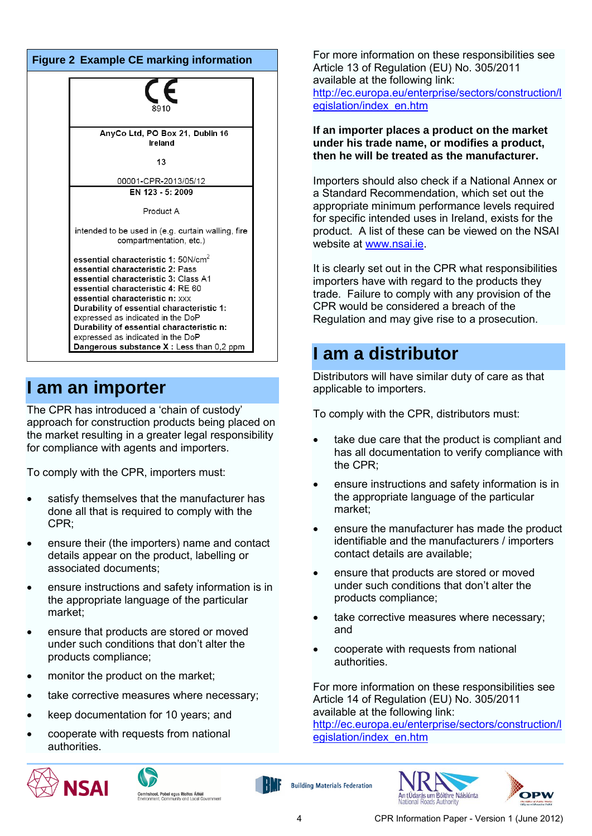| <b>Figure 2 Example CE marking information</b> |                                                                                |  |
|------------------------------------------------|--------------------------------------------------------------------------------|--|
|                                                | 8910                                                                           |  |
|                                                | AnyCo Ltd, PO Box 21, Dublin 16<br>Ireland                                     |  |
|                                                | 13                                                                             |  |
|                                                | 00001-CPR-2013/05/12                                                           |  |
|                                                | EN $123 - 5:2009$                                                              |  |
|                                                | Product A                                                                      |  |
|                                                | intended to be used in (e.g. curtain walling, fire<br>compartmentation, etc.)  |  |
|                                                | essential characteristic 1: 50N/cm <sup>2</sup>                                |  |
|                                                | essential characteristic 2: Pass                                               |  |
|                                                | essential characteristic 3: Class A1<br>essential characteristic 4: RE 60      |  |
|                                                | essential characteristic n: xxx                                                |  |
|                                                | Durability of essential characteristic 1:                                      |  |
|                                                | expressed as indicated in the DoP                                              |  |
|                                                | Durability of essential characteristic n:<br>expressed as indicated in the DoP |  |
|                                                | Dangerous substance X: Less than 0,2 ppm                                       |  |
|                                                |                                                                                |  |

#### **I am an importer**

The CPR has introduced a 'chain of custody' approach for construction products being placed on the market resulting in a greater legal responsibility for compliance with agents and importers.

To comply with the CPR, importers must:

- satisfy themselves that the manufacturer has done all that is required to comply with the CPR;
- ensure their (the importers) name and contact details appear on the product, labelling or associated documents;
- ensure instructions and safety information is in the appropriate language of the particular market;
- ensure that products are stored or moved under such conditions that don't alter the products compliance;
- monitor the product on the market;
- take corrective measures where necessary;
- keep documentation for 10 years; and
- cooperate with requests from national authorities.







For more information on these responsibilities see Article 13 of Regulation (EU) No. 305/2011 available at the following link: [http://ec.europa.eu/enterprise/sectors/construction/l](http://ec.europa.eu/enterprise/sectors/construction/legislation/index_en.htm) [egislation/index\\_en.htm](http://ec.europa.eu/enterprise/sectors/construction/legislation/index_en.htm)

**If an importer places a product on the market under his trade name, or modifies a product, then he will be treated as the manufacturer.**

Importers should also check if a National Annex or a Standard Recommendation, which set out the appropriate minimum performance levels required for specific intended uses in Ireland, exists for the product. A list of these can be viewed on the NSAI website at [www.nsai.ie.](http://www.nsai.ie/)

It is clearly set out in the CPR what responsibilities importers have with regard to the products they trade. Failure to comply with any provision of the CPR would be considered a breach of the Regulation and may give rise to a prosecution.

#### **I am a distributor**

Distributors will have similar duty of care as that applicable to importers.

To comply with the CPR, distributors must:

- take due care that the product is compliant and has all documentation to verify compliance with the CPR;
- ensure instructions and safety information is in the appropriate language of the particular market;
- ensure the manufacturer has made the product identifiable and the manufacturers / importers contact details are available;
- ensure that products are stored or moved under such conditions that don't alter the products compliance;
- take corrective measures where necessary; and
- cooperate with requests from national authorities.

For more information on these responsibilities see Article 14 of Regulation (EU) No. 305/2011 available at the following link: [http://ec.europa.eu/enterprise/sectors/construction/l](http://ec.europa.eu/enterprise/sectors/construction/legislation/index_en.htm)

[egislation/index\\_en.htm](http://ec.europa.eu/enterprise/sectors/construction/legislation/index_en.htm)



**Building Materials Federation**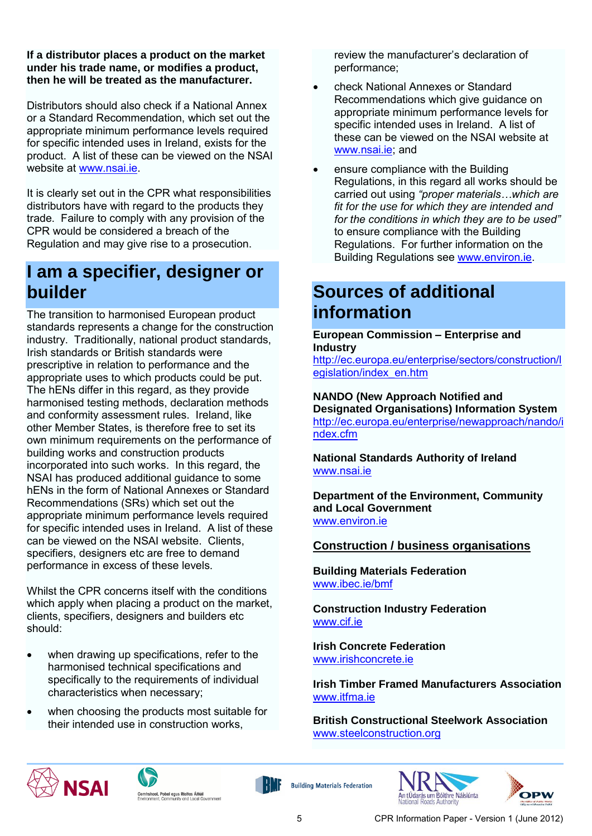#### **If a distributor places a product on the market under his trade name, or modifies a product, then he will be treated as the manufacturer.**

Distributors should also check if a National Annex or a Standard Recommendation, which set out the appropriate minimum performance levels required for specific intended uses in Ireland, exists for the product. A list of these can be viewed on the NSAI website at [www.nsai.ie.](http://www.nsai.ie/)

It is clearly set out in the CPR what responsibilities distributors have with regard to the products they trade. Failure to comply with any provision of the CPR would be considered a breach of the Regulation and may give rise to a prosecution.

### **I am a specifier, designer or builder**

The transition to harmonised European product standards represents a change for the construction industry. Traditionally, national product standards, Irish standards or British standards were prescriptive in relation to performance and the appropriate uses to which products could be put. The hENs differ in this regard, as they provide harmonised testing methods, declaration methods and conformity assessment rules. Ireland, like other Member States, is therefore free to set its own minimum requirements on the performance of building works and construction products incorporated into such works. In this regard, the NSAI has produced additional guidance to some hENs in the form of National Annexes or Standard Recommendations (SRs) which set out the appropriate minimum performance levels required for specific intended uses in Ireland. A list of these can be viewed on the NSAI website. Clients, specifiers, designers etc are free to demand performance in excess of these levels.

Whilst the CPR concerns itself with the conditions which apply when placing a product on the market, clients, specifiers, designers and builders etc should:

- when drawing up specifications, refer to the harmonised technical specifications and specifically to the requirements of individual characteristics when necessary;
- when choosing the products most suitable for their intended use in construction works,

review the manufacturer's declaration of performance;

- check National Annexes or Standard Recommendations which give guidance on appropriate minimum performance levels for specific intended uses in Ireland. A list of these can be viewed on the NSAI website at [www.nsai.ie;](http://www.nsai.ie/) and
- ensure compliance with the Building Regulations, in this regard all works should be carried out using *"proper materials…which are fit for the use for which they are intended and for the conditions in which they are to be used"* to ensure compliance with the Building Regulations. For further information on the Building Regulations see [www.environ.ie.](http://www.environ.ie/)

## **Sources of additional information**

**European Commission – Enterprise and Industry**

[http://ec.europa.eu/enterprise/sectors/construction/l](http://ec.europa.eu/enterprise/sectors/construction/legislation/index_en.htm) [egislation/index\\_en.htm](http://ec.europa.eu/enterprise/sectors/construction/legislation/index_en.htm)

#### **NANDO (New Approach Notified and Designated Organisations) Information System** [http://ec.europa.eu/enterprise/newapproach/nando/i](http://ec.europa.eu/enterprise/newapproach/nando/index.cfm) [ndex.cfm](http://ec.europa.eu/enterprise/newapproach/nando/index.cfm)

**National Standards Authority of Ireland**  [www.nsai.ie](http://www.nsai.ie/)

**Department of the Environment, Community and Local Government** [www.environ.ie](http://www.environ.ie/)

#### **Construction / business organisations**

**Building Materials Federation** [www.ibec.ie/bmf](http://www.ibec.ie/bmf)

**Construction Industry Federation** [www.cif.ie](http://www.cif.ie/)

**Irish Concrete Federation** [www.irishconcrete.ie](http://www.irishconcrete.ie/)

**Irish Timber Framed Manufacturers Association** [www.itfma.ie](http://www.itfma.ie/)

**British Constructional Steelwork Association** [www.steelconstruction.org](http://www.steelconstruction.org/)